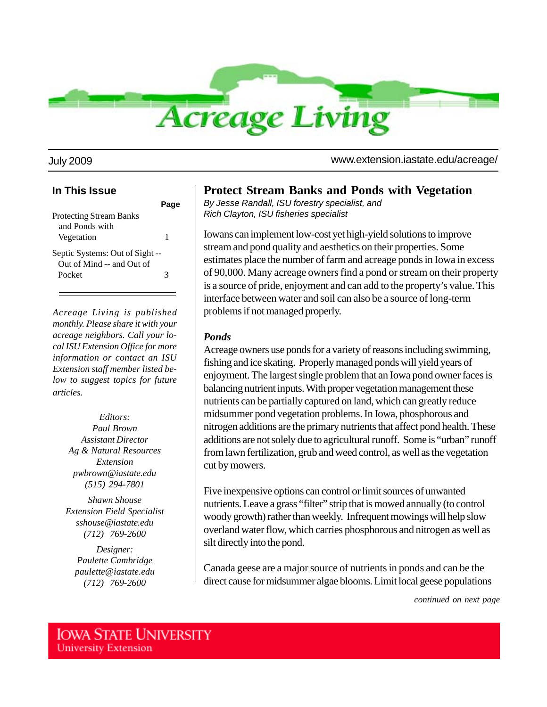

July 2009 www.extension.iastate.edu/acreage/

#### **In This Issue**

| <b>Protecting Stream Banks</b>  |   |
|---------------------------------|---|
| and Ponds with                  |   |
| Vegetation                      | 1 |
| Septic Systems: Out of Sight -- |   |
| Out of Mind -- and Out of       |   |
| Pocket                          | 3 |
|                                 |   |

*Acreage Living is published monthly. Please share it with your acreage neighbors. Call your local ISU Extension Office for more information or contact an ISU Extension staff member listed below to suggest topics for future articles.*

> *Editors: Paul Brown Assistant Director Ag & Natural Resources Extension pwbrown@iastate.edu (515) 294-7801*

*Shawn Shouse Extension Field Specialist sshouse@iastate.edu (712) 769-2600*

*Designer: Paulette Cambridge paulette@iastate.edu (712) 769-2600*

## **Protect Stream Banks and Ponds with Vegetation**

*By Jesse Randall, ISU forestry specialist, and Rich Clayton, ISU fisheries specialist*

Iowans can implement low-cost yet high-yield solutions to improve stream and pond quality and aesthetics on their properties. Some estimates place the number of farm and acreage ponds in Iowa in excess of 90,000. Many acreage owners find a pond or stream on their property is a source of pride, enjoyment and can add to the property's value. This interface between water and soil can also be a source of long-term problems if not managed properly.

#### *Ponds*

Acreage owners use ponds for a variety of reasons including swimming, fishing and ice skating. Properly managed ponds will yield years of enjoyment. The largest single problem that an Iowa pond owner faces is balancing nutrient inputs. With proper vegetation management these nutrients can be partially captured on land, which can greatly reduce midsummer pond vegetation problems. In Iowa, phosphorous and nitrogen additions are the primary nutrients that affect pond health. These additions are not solely due to agricultural runoff. Some is "urban" runoff from lawn fertilization, grub and weed control, as well as the vegetation cut by mowers.

Five inexpensive options can control or limit sources of unwanted nutrients. Leave a grass "filter" strip that is mowed annually (to control woody growth) rather than weekly. Infrequent mowings will help slow overland water flow, which carries phosphorous and nitrogen as well as silt directly into the pond.

Canada geese are a major source of nutrients in ponds and can be the direct cause for midsummer algae blooms. Limit local geese populations

*continued on next page*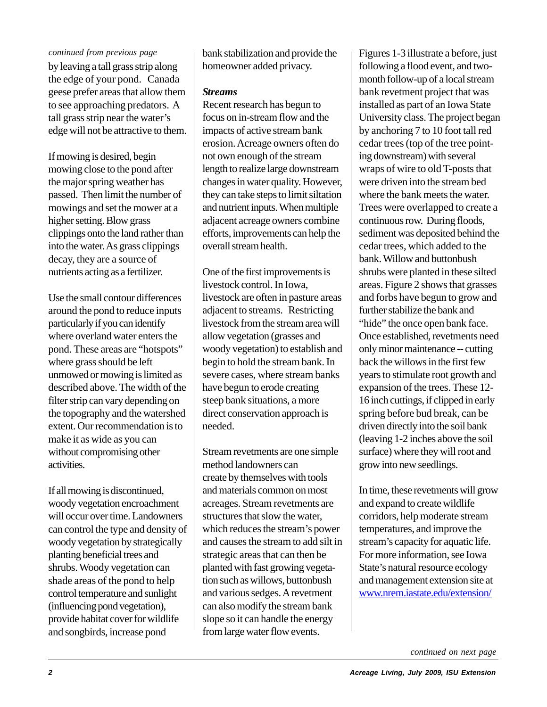#### *continued from previous page*

by leaving a tall grass strip along the edge of your pond. Canada geese prefer areas that allow them to see approaching predators. A tall grass strip near the water's edge will not be attractive to them.

If mowing is desired, begin mowing close to the pond after the major spring weather has passed. Then limit the number of mowings and set the mower at a higher setting. Blow grass clippings onto the land rather than into the water. As grass clippings decay, they are a source of nutrients acting as a fertilizer.

Use the small contour differences around the pond to reduce inputs particularly if you can identify where overland water enters the pond. These areas are "hotspots" where grass should be left unmowed or mowing is limited as described above. The width of the filter strip can vary depending on the topography and the watershed extent. Our recommendation is to make it as wide as you can without compromising other activities.

If all mowing is discontinued, woody vegetation encroachment will occur over time. Landowners can control the type and density of woody vegetation by strategically planting beneficial trees and shrubs. Woody vegetation can shade areas of the pond to help control temperature and sunlight (influencing pond vegetation), provide habitat cover for wildlife and songbirds, increase pond

bank stabilization and provide the homeowner added privacy.

### *Streams*

Recent research has begun to focus on in-stream flow and the impacts of active stream bank erosion. Acreage owners often do not own enough of the stream length to realize large downstream changes in water quality. However, they can take steps to limit siltation and nutrient inputs. When multiple adjacent acreage owners combine efforts, improvements can help the overall stream health.

One of the first improvements is livestock control. In Iowa, livestock are often in pasture areas adjacent to streams. Restricting livestock from the stream area will allow vegetation (grasses and woody vegetation) to establish and begin to hold the stream bank. In severe cases, where stream banks have begun to erode creating steep bank situations, a more direct conservation approach is needed.

Stream revetments are one simple method landowners can create by themselves with tools and materials common on most acreages. Stream revetments are structures that slow the water, which reduces the stream's power and causes the stream to add silt in strategic areas that can then be planted with fast growing vegetation such as willows, buttonbush and various sedges. A revetment can also modify the stream bank slope so it can handle the energy from large water flow events.

Figures 1-3 illustrate a before, just following a flood event, and twomonth follow-up of a local stream bank revetment project that was installed as part of an Iowa State University class. The project began by anchoring 7 to 10 foot tall red cedar trees (top of the tree pointing downstream) with several wraps of wire to old T-posts that were driven into the stream bed where the bank meets the water. Trees were overlapped to create a continuous row. During floods, sediment was deposited behind the cedar trees, which added to the bank. Willow and buttonbush shrubs were planted in these silted areas. Figure 2 shows that grasses and forbs have begun to grow and further stabilize the bank and "hide" the once open bank face. Once established, revetments need only minor maintenance -- cutting back the willows in the first few years to stimulate root growth and expansion of the trees. These 12- 16 inch cuttings, if clipped in early spring before bud break, can be driven directly into the soil bank (leaving 1-2 inches above the soil surface) where they will root and grow into new seedlings.

In time, these revetments will grow and expand to create wildlife corridors, help moderate stream temperatures, and improve the stream's capacity for aquatic life. For more information, see Iowa State's natural resource ecology and management extension site at www.nrem.iastate.edu/extension/

*continued on next page*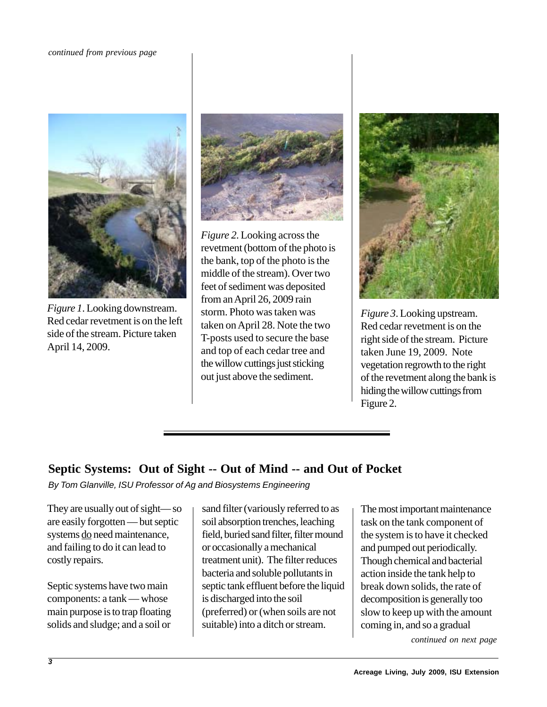#### *continued from previous page*



*Figure 1*. Looking downstream. Red cedar revetment is on the left side of the stream. Picture taken April 14, 2009.



*Figure 2*. Looking across the revetment (bottom of the photo is the bank, top of the photo is the middle of the stream). Over two feet of sediment was deposited from an April 26, 2009 rain storm. Photo was taken was taken on April 28. Note the two T-posts used to secure the base and top of each cedar tree and the willow cuttings just sticking out just above the sediment.



*Figure 3*. Looking upstream. Red cedar revetment is on the right side of the stream. Picture taken June 19, 2009. Note vegetation regrowth to the right of the revetment along the bank is hiding the willow cuttings from Figure 2.

# **Septic Systems: Out of Sight -- Out of Mind -- and Out of Pocket**

*By Tom Glanville, ISU Professor of Ag and Biosystems Engineering*

They are usually out of sight— so are easily forgotten — but septic systems do need maintenance, and failing to do it can lead to costly repairs.

Septic systems have two main components: a tank — whose main purpose is to trap floating solids and sludge; and a soil or

sand filter (variously referred to as soil absorption trenches, leaching field, buried sand filter, filter mound or occasionally a mechanical treatment unit). The filter reduces bacteria and soluble pollutants in septic tank effluent before the liquid is discharged into the soil (preferred) or (when soils are not suitable) into a ditch or stream.

The most important maintenance task on the tank component of the system is to have it checked and pumped out periodically. Though chemical and bacterial action inside the tank help to break down solids, the rate of decomposition is generally too slow to keep up with the amount coming in, and so a gradual

*continued on next page*